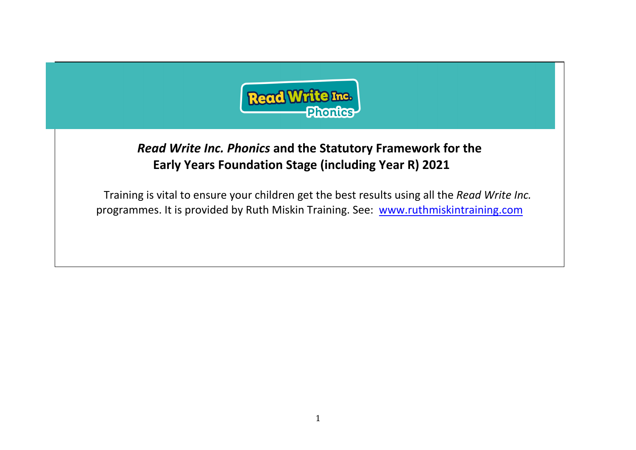

## *Read Write Inc. Phonics* **and the Statutory Framework for the Early Years Foundation Stage (including Year R) 2021**

Training is vital to ensure your children get the best results using all the *Read Write Inc.* programmes. It is provided by Ruth Miskin Training. See: [www.ruthmiskintraining.com](http://www.ruthmiskintraining.com/)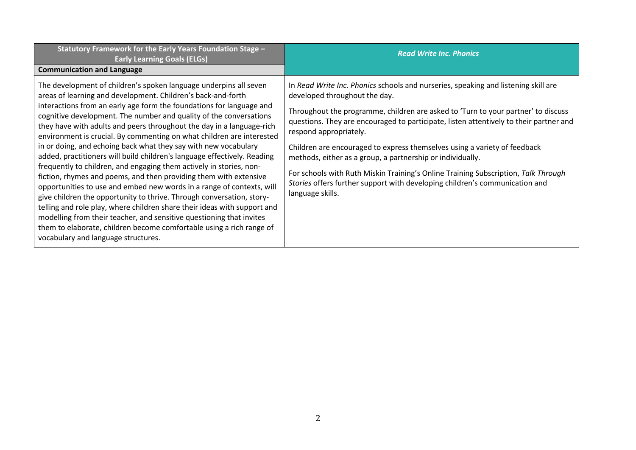| Statutory Framework for the Early Years Foundation Stage -<br><b>Early Learning Goals (ELGs)</b>                                                                                                                                                                                                                                                                                                                                                                                                                                                                                                                                                                                                                                                                                                                                                                                                                                                                                                                                                                                                                                                  | <b>Read Write Inc. Phonics</b>                                                                                                                                                                                                                                                                                                                                                                                                                                                                                                                                                                                                                                   |
|---------------------------------------------------------------------------------------------------------------------------------------------------------------------------------------------------------------------------------------------------------------------------------------------------------------------------------------------------------------------------------------------------------------------------------------------------------------------------------------------------------------------------------------------------------------------------------------------------------------------------------------------------------------------------------------------------------------------------------------------------------------------------------------------------------------------------------------------------------------------------------------------------------------------------------------------------------------------------------------------------------------------------------------------------------------------------------------------------------------------------------------------------|------------------------------------------------------------------------------------------------------------------------------------------------------------------------------------------------------------------------------------------------------------------------------------------------------------------------------------------------------------------------------------------------------------------------------------------------------------------------------------------------------------------------------------------------------------------------------------------------------------------------------------------------------------------|
| <b>Communication and Language</b>                                                                                                                                                                                                                                                                                                                                                                                                                                                                                                                                                                                                                                                                                                                                                                                                                                                                                                                                                                                                                                                                                                                 |                                                                                                                                                                                                                                                                                                                                                                                                                                                                                                                                                                                                                                                                  |
| The development of children's spoken language underpins all seven<br>areas of learning and development. Children's back-and-forth<br>interactions from an early age form the foundations for language and<br>cognitive development. The number and quality of the conversations<br>they have with adults and peers throughout the day in a language-rich<br>environment is crucial. By commenting on what children are interested<br>in or doing, and echoing back what they say with new vocabulary<br>added, practitioners will build children's language effectively. Reading<br>frequently to children, and engaging them actively in stories, non-<br>fiction, rhymes and poems, and then providing them with extensive<br>opportunities to use and embed new words in a range of contexts, will<br>give children the opportunity to thrive. Through conversation, story-<br>telling and role play, where children share their ideas with support and<br>modelling from their teacher, and sensitive questioning that invites<br>them to elaborate, children become comfortable using a rich range of<br>vocabulary and language structures. | In Read Write Inc. Phonics schools and nurseries, speaking and listening skill are<br>developed throughout the day.<br>Throughout the programme, children are asked to 'Turn to your partner' to discuss<br>questions. They are encouraged to participate, listen attentively to their partner and<br>respond appropriately.<br>Children are encouraged to express themselves using a variety of feedback<br>methods, either as a group, a partnership or individually.<br>For schools with Ruth Miskin Training's Online Training Subscription, Talk Through<br>Stories offers further support with developing children's communication and<br>language skills. |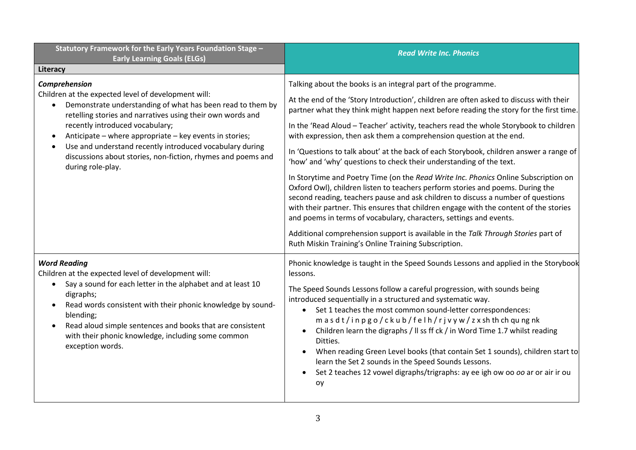| Statutory Framework for the Early Years Foundation Stage -                                                                                                                                                                                                                                                                                                                                                                                                                | <b>Read Write Inc. Phonics</b>                                                                                                                                                                                                                                                                                                                                                                                                                                                                                                                                                                                                                                                                                                                                                                                                                                                                                                                                                                                                                                                                                                                              |
|---------------------------------------------------------------------------------------------------------------------------------------------------------------------------------------------------------------------------------------------------------------------------------------------------------------------------------------------------------------------------------------------------------------------------------------------------------------------------|-------------------------------------------------------------------------------------------------------------------------------------------------------------------------------------------------------------------------------------------------------------------------------------------------------------------------------------------------------------------------------------------------------------------------------------------------------------------------------------------------------------------------------------------------------------------------------------------------------------------------------------------------------------------------------------------------------------------------------------------------------------------------------------------------------------------------------------------------------------------------------------------------------------------------------------------------------------------------------------------------------------------------------------------------------------------------------------------------------------------------------------------------------------|
| <b>Early Learning Goals (ELGs)</b><br>Literacy                                                                                                                                                                                                                                                                                                                                                                                                                            |                                                                                                                                                                                                                                                                                                                                                                                                                                                                                                                                                                                                                                                                                                                                                                                                                                                                                                                                                                                                                                                                                                                                                             |
| Comprehension<br>Children at the expected level of development will:<br>Demonstrate understanding of what has been read to them by<br>$\bullet$<br>retelling stories and narratives using their own words and<br>recently introduced vocabulary;<br>Anticipate – where appropriate – key events in stories;<br>$\bullet$<br>Use and understand recently introduced vocabulary during<br>discussions about stories, non-fiction, rhymes and poems and<br>during role-play. | Talking about the books is an integral part of the programme.<br>At the end of the 'Story Introduction', children are often asked to discuss with their<br>partner what they think might happen next before reading the story for the first time.<br>In the 'Read Aloud - Teacher' activity, teachers read the whole Storybook to children<br>with expression, then ask them a comprehension question at the end.<br>In 'Questions to talk about' at the back of each Storybook, children answer a range of<br>'how' and 'why' questions to check their understanding of the text.<br>In Storytime and Poetry Time (on the Read Write Inc. Phonics Online Subscription on<br>Oxford Owl), children listen to teachers perform stories and poems. During the<br>second reading, teachers pause and ask children to discuss a number of questions<br>with their partner. This ensures that children engage with the content of the stories<br>and poems in terms of vocabulary, characters, settings and events.<br>Additional comprehension support is available in the Talk Through Stories part of<br>Ruth Miskin Training's Online Training Subscription. |
| <b>Word Reading</b><br>Children at the expected level of development will:<br>Say a sound for each letter in the alphabet and at least 10<br>digraphs;<br>Read words consistent with their phonic knowledge by sound-<br>blending;<br>Read aloud simple sentences and books that are consistent<br>$\bullet$<br>with their phonic knowledge, including some common<br>exception words.                                                                                    | Phonic knowledge is taught in the Speed Sounds Lessons and applied in the Storybook<br>lessons.<br>The Speed Sounds Lessons follow a careful progression, with sounds being<br>introduced sequentially in a structured and systematic way.<br>Set 1 teaches the most common sound-letter correspondences:<br>$\bullet$<br>masdt/inpgo/ckub/felh/rjvyw/zxshthchqungnk<br>Children learn the digraphs / Il ss ff ck / in Word Time 1.7 whilst reading<br>Ditties.<br>When reading Green Level books (that contain Set 1 sounds), children start to<br>$\bullet$<br>learn the Set 2 sounds in the Speed Sounds Lessons.<br>Set 2 teaches 12 vowel digraphs/trigraphs: ay ee igh ow oo oo ar or air ir ou<br>$\bullet$<br>oy                                                                                                                                                                                                                                                                                                                                                                                                                                    |